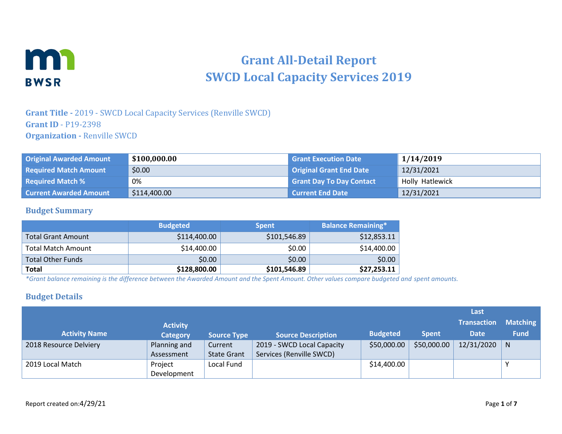

# **Grant All-Detail Report SWCD Local Capacity Services 2019**

#### **Grant Title -** 2019 - SWCD Local Capacity Services (Renville SWCD) **Grant ID** - P19-2398 **Organization -** Renville SWCD

| <b>Original Awarded Amount</b> | \$100,000.00 | <b>Grant Execution Date</b>     | 1/14/2019       |
|--------------------------------|--------------|---------------------------------|-----------------|
| <b>Required Match Amount</b>   | \$0.00       | <b>Original Grant End Date</b>  | 12/31/2021      |
| <b>Required Match %</b>        | 0%           | <b>Grant Day To Day Contact</b> | Holly Hatlewick |
| <b>Current Awarded Amount</b>  | \$114,400.00 | Current End Date                | 12/31/2021      |

#### **Budget Summary**

|                           | <b>Budgeted</b> | <b>Spent</b> | <b>Balance Remaining*</b> |
|---------------------------|-----------------|--------------|---------------------------|
| <b>Total Grant Amount</b> | \$114,400.00    | \$101,546.89 | \$12,853.11               |
| <b>Total Match Amount</b> | \$14,400.00     | \$0.00       | \$14,400.00               |
| <b>Total Other Funds</b>  | \$0.00          | \$0.00       | \$0.00                    |
| Total                     | \$128,800.00    | \$101,546.89 | \$27,253.11               |

*\*Grant balance remaining is the difference between the Awarded Amount and the Spent Amount. Other values compare budgeted and spent amounts.*

#### **Budget Details**

|                        |                 |                    |                            |                 |              | Last               |                 |
|------------------------|-----------------|--------------------|----------------------------|-----------------|--------------|--------------------|-----------------|
|                        | <b>Activity</b> |                    |                            |                 |              | <b>Transaction</b> | <b>Matching</b> |
| <b>Activity Name</b>   | <b>Category</b> | <b>Source Type</b> | <b>Source Description</b>  | <b>Budgeted</b> | <b>Spent</b> | <b>Date</b>        | <b>Fund</b>     |
| 2018 Resource Delviery | Planning and    | Current            | 2019 - SWCD Local Capacity | \$50,000.00     | \$50,000.00  | 12/31/2020         | N               |
|                        | Assessment      | <b>State Grant</b> | Services (Renville SWCD)   |                 |              |                    |                 |
| 2019 Local Match       | Project         | Local Fund         |                            | \$14,400.00     |              |                    | $\checkmark$    |
|                        | Development     |                    |                            |                 |              |                    |                 |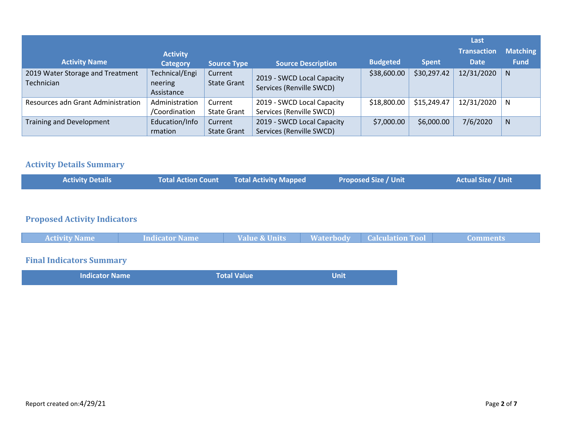| <b>Activity Name</b>                           | <b>Activity</b><br><b>Category</b>      | <b>Source Type</b>            | <b>Source Description</b>                              | <b>Budgeted</b> | <b>Spent</b> | Last<br><b>Transaction</b><br><b>Date</b> | <b>Matching</b><br><b>Fund</b> |
|------------------------------------------------|-----------------------------------------|-------------------------------|--------------------------------------------------------|-----------------|--------------|-------------------------------------------|--------------------------------|
| 2019 Water Storage and Treatment<br>Technician | Technical/Engi<br>neering<br>Assistance | Current<br><b>State Grant</b> | 2019 - SWCD Local Capacity<br>Services (Renville SWCD) | \$38,600.00     | \$30,297.42  | 12/31/2020                                | <sub>N</sub>                   |
| Resources adn Grant Administration             | Administration<br>/Coordination         | Current<br><b>State Grant</b> | 2019 - SWCD Local Capacity<br>Services (Renville SWCD) | \$18,800.00     | \$15,249.47  | 12/31/2020                                | N                              |
| <b>Training and Development</b>                | Education/Info<br>rmation               | Current<br><b>State Grant</b> | 2019 - SWCD Local Capacity<br>Services (Renville SWCD) | \$7,000.00      | \$6,000.00   | 7/6/2020                                  | $\mathsf{N}$                   |

#### **Activity Details Summary**

| <b>Activity Details</b> | Total Action Count Total Activity Mapped | <b>Proposed Size / Unit</b> | <b>Actual Size / Unit</b> |
|-------------------------|------------------------------------------|-----------------------------|---------------------------|
|                         |                                          |                             |                           |

#### **Proposed Activity Indicators**

| <b>Activity Name</b> | Indicator Name | <b>Value &amp; Units</b> | <b>Waterbody Calculation Tool</b> | Comments |
|----------------------|----------------|--------------------------|-----------------------------------|----------|
|                      |                |                          |                                   |          |

## **Final Indicators Summary**

| <b>Indicator Name</b> | Total Value | <b>Unit</b> |  |
|-----------------------|-------------|-------------|--|
|                       |             |             |  |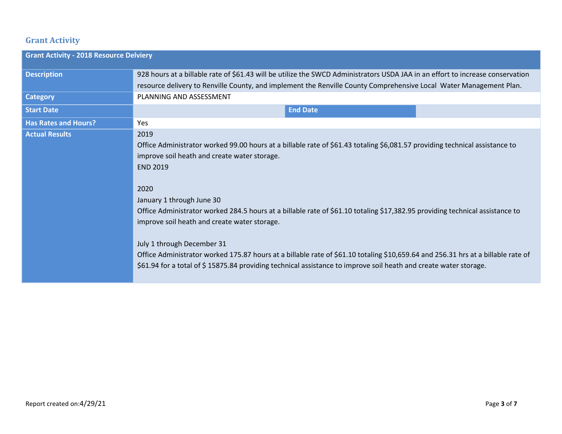### **Grant Activity**

| <b>Grant Activity - 2018 Resource Delviery</b> |                                                                                                                                                                                                                                                                                                                                                                                                                                                                                                                                                                                                                                                                                                                   |
|------------------------------------------------|-------------------------------------------------------------------------------------------------------------------------------------------------------------------------------------------------------------------------------------------------------------------------------------------------------------------------------------------------------------------------------------------------------------------------------------------------------------------------------------------------------------------------------------------------------------------------------------------------------------------------------------------------------------------------------------------------------------------|
| <b>Description</b>                             | 928 hours at a billable rate of \$61.43 will be utilize the SWCD Administrators USDA JAA in an effort to increase conservation<br>resource delivery to Renville County, and implement the Renville County Comprehensive Local Water Management Plan.                                                                                                                                                                                                                                                                                                                                                                                                                                                              |
| <b>Category</b>                                | PLANNING AND ASSESSMENT                                                                                                                                                                                                                                                                                                                                                                                                                                                                                                                                                                                                                                                                                           |
| <b>Start Date</b>                              | <b>End Date</b>                                                                                                                                                                                                                                                                                                                                                                                                                                                                                                                                                                                                                                                                                                   |
| <b>Has Rates and Hours?</b>                    | Yes                                                                                                                                                                                                                                                                                                                                                                                                                                                                                                                                                                                                                                                                                                               |
| <b>Actual Results</b>                          | 2019<br>Office Administrator worked 99.00 hours at a billable rate of \$61.43 totaling \$6,081.57 providing technical assistance to<br>improve soil heath and create water storage.<br><b>END 2019</b><br>2020<br>January 1 through June 30<br>Office Administrator worked 284.5 hours at a billable rate of \$61.10 totaling \$17,382.95 providing technical assistance to<br>improve soil heath and create water storage.<br>July 1 through December 31<br>Office Administrator worked 175.87 hours at a billable rate of \$61.10 totaling \$10,659.64 and 256.31 hrs at a billable rate of<br>\$61.94 for a total of \$15875.84 providing technical assistance to improve soil heath and create water storage. |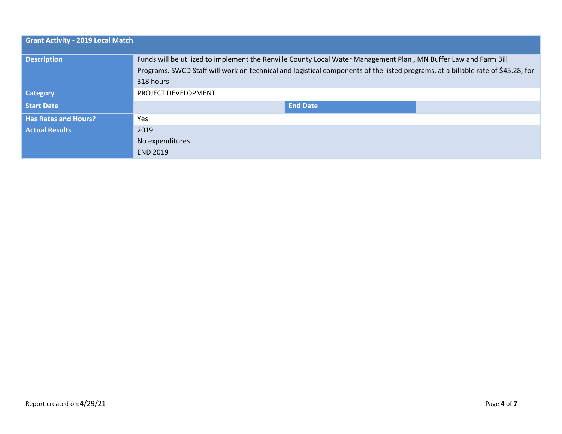| <b>Grant Activity - 2019 Local Match</b> |                                                                                                                                                                                                                                                                   |
|------------------------------------------|-------------------------------------------------------------------------------------------------------------------------------------------------------------------------------------------------------------------------------------------------------------------|
| <b>Description</b>                       | Funds will be utilized to implement the Renville County Local Water Management Plan, MN Buffer Law and Farm Bill<br>Programs. SWCD Staff will work on technical and logistical components of the listed programs, at a billable rate of \$45.28, for<br>318 hours |
| <b>Category</b>                          | <b>PROJECT DEVELOPMENT</b>                                                                                                                                                                                                                                        |
| <b>Start Date</b>                        | <b>End Date</b>                                                                                                                                                                                                                                                   |
| <b>Has Rates and Hours?</b>              | Yes.                                                                                                                                                                                                                                                              |
| <b>Actual Results</b>                    | 2019                                                                                                                                                                                                                                                              |
|                                          | No expenditures<br><b>END 2019</b>                                                                                                                                                                                                                                |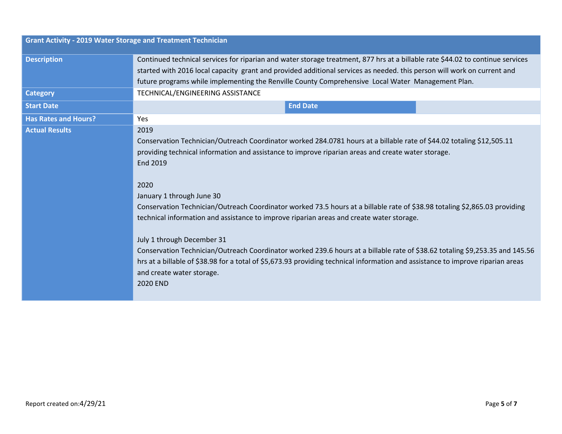| <b>Grant Activity - 2019 Water Storage and Treatment Technician</b> |                                                                                                                                 |
|---------------------------------------------------------------------|---------------------------------------------------------------------------------------------------------------------------------|
| <b>Description</b>                                                  | Continued technical services for riparian and water storage treatment, 877 hrs at a billable rate \$44.02 to continue services  |
|                                                                     | started with 2016 local capacity grant and provided additional services as needed. this person will work on current and         |
|                                                                     | future programs while implementing the Renville County Comprehensive Local Water Management Plan.                               |
| <b>Category</b>                                                     | TECHNICAL/ENGINEERING ASSISTANCE                                                                                                |
| <b>Start Date</b>                                                   | <b>End Date</b>                                                                                                                 |
| <b>Has Rates and Hours?</b>                                         | <b>Yes</b>                                                                                                                      |
| <b>Actual Results</b>                                               | 2019                                                                                                                            |
|                                                                     | Conservation Technician/Outreach Coordinator worked 284.0781 hours at a billable rate of \$44.02 totaling \$12,505.11           |
|                                                                     | providing technical information and assistance to improve riparian areas and create water storage.                              |
|                                                                     | End 2019                                                                                                                        |
|                                                                     |                                                                                                                                 |
|                                                                     | 2020                                                                                                                            |
|                                                                     | January 1 through June 30                                                                                                       |
|                                                                     | Conservation Technician/Outreach Coordinator worked 73.5 hours at a billable rate of \$38.98 totaling \$2,865.03 providing      |
|                                                                     | technical information and assistance to improve riparian areas and create water storage.                                        |
|                                                                     |                                                                                                                                 |
|                                                                     | July 1 through December 31                                                                                                      |
|                                                                     | Conservation Technician/Outreach Coordinator worked 239.6 hours at a billable rate of \$38.62 totaling \$9,253.35 and 145.56    |
|                                                                     | hrs at a billable of \$38.98 for a total of \$5,673.93 providing technical information and assistance to improve riparian areas |
|                                                                     | and create water storage.                                                                                                       |
|                                                                     | 2020 END                                                                                                                        |
|                                                                     |                                                                                                                                 |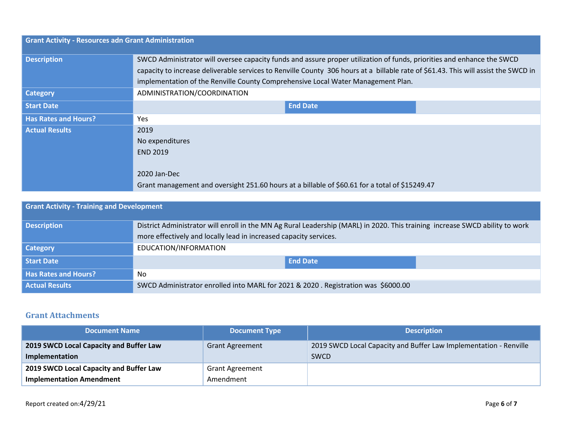| <b>Grant Activity - Resources adn Grant Administration</b> |                                                                                                                                    |
|------------------------------------------------------------|------------------------------------------------------------------------------------------------------------------------------------|
| <b>Description</b>                                         | SWCD Administrator will oversee capacity funds and assure proper utilization of funds, priorities and enhance the SWCD             |
|                                                            | capacity to increase deliverable services to Renville County 306 hours at a billable rate of \$61.43. This will assist the SWCD in |
|                                                            | implementation of the Renville County Comprehensive Local Water Management Plan.                                                   |
| <b>Category</b>                                            | ADMINISTRATION/COORDINATION                                                                                                        |
| <b>Start Date</b>                                          | <b>End Date</b>                                                                                                                    |
| <b>Has Rates and Hours?</b>                                | Yes                                                                                                                                |
| <b>Actual Results</b>                                      | 2019                                                                                                                               |
|                                                            | No expenditures                                                                                                                    |
|                                                            | <b>END 2019</b>                                                                                                                    |
|                                                            | 2020 Jan-Dec                                                                                                                       |
|                                                            | Grant management and oversight 251.60 hours at a billable of \$60.61 for a total of \$15249.47                                     |

| <b>Grant Activity - Training and Development</b> |                                                                                                                              |
|--------------------------------------------------|------------------------------------------------------------------------------------------------------------------------------|
| <b>Description</b>                               | District Administrator will enroll in the MN Ag Rural Leadership (MARL) in 2020. This training increase SWCD ability to work |
|                                                  | more effectively and locally lead in increased capacity services.                                                            |
| <b>Category</b>                                  | EDUCATION/INFORMATION                                                                                                        |
| <b>Start Date</b>                                | <b>End Date</b>                                                                                                              |
| <b>Has Rates and Hours?</b>                      | No                                                                                                                           |
| <b>Actual Results</b>                            | SWCD Administrator enrolled into MARL for 2021 & 2020 . Registration was \$6000.00                                           |

#### **Grant Attachments**

| <b>Document Name</b>                    | <b>Document Type</b>   | <b>Description</b>                                                |
|-----------------------------------------|------------------------|-------------------------------------------------------------------|
| 2019 SWCD Local Capacity and Buffer Law | <b>Grant Agreement</b> | 2019 SWCD Local Capacity and Buffer Law Implementation - Renville |
| Implementation                          |                        | <b>SWCD</b>                                                       |
| 2019 SWCD Local Capacity and Buffer Law | <b>Grant Agreement</b> |                                                                   |
| <b>Implementation Amendment</b>         | Amendment              |                                                                   |